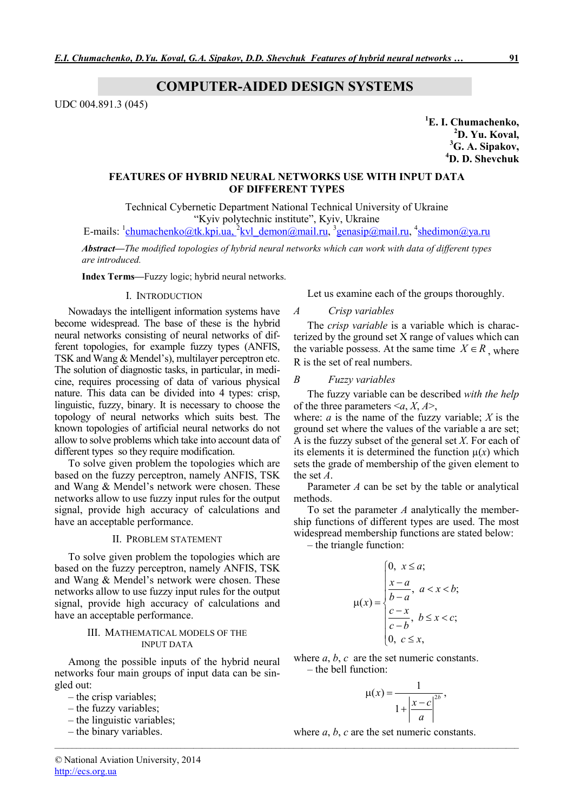# COMPUTER-AIDED DESIGN SYSTEMS

UDC 004.891.3 (045)

<sup>1</sup>E. I. Chumachenko, <sup>2</sup>D. Yu. Koval, <sup>3</sup>G. A. Sipakov, 4 D. D. Shevchuk

## FEATURES OF HYBRID NEURAL NETWORKS USE WITH INPUT DATA OF DIFFERENT TYPES

Technical Cybernetic Department National Technical University of Ukraine "Kyiv polytechnic institute", Kyiv, Ukraine

E-mails: <sup>1</sup>chumachenko@tk.kpi.ua, <sup>2</sup>kvl\_demon@mail.ru, <sup>3</sup>genasip@mail.ru, <sup>4</sup>shedimon@ya.ru

*Abstract—The modified topologies of hybrid neural networks which can work with data of different types are introduced.*

*\_\_\_\_\_\_\_\_\_\_\_\_\_\_\_\_\_\_\_\_\_\_\_\_\_\_\_\_\_\_\_\_\_\_\_\_\_\_\_\_\_\_\_\_\_\_\_\_\_\_\_\_\_\_\_\_\_\_\_\_\_\_\_\_\_\_\_\_\_\_\_\_\_\_\_\_\_\_\_\_\_\_\_\_\_\_\_\_\_\_\_\_\_\_\_\_\_\_\_\_\_\_\_\_\_\_\_*

Index Terms—Fuzzy logic; hybrid neural networks.

#### I. INTRODUCTION

Nowadays the intelligent information systems have become widespread. The base of these is the hybrid neural networks consisting of neural networks of different topologies, for example fuzzy types (ANFIS, TSK and Wang & Mendel's), multilayer perceptron etc. The solution of diagnostic tasks, in particular, in medicine, requires processing of data of various physical nature. This data can be divided into 4 types: crisp, linguistic, fuzzy, binary. It is necessary to choose the topology of neural networks which suits best. The known topologies of artificial neural networks do not allow to solve problems which take into account data of different types so they require modification.

To solve given problem the topologies which are based on the fuzzy perceptron, namely ANFIS, TSK and Wang & Mendel's network were chosen. These networks allow to use fuzzy input rules for the output signal, provide high accuracy of calculations and have an acceptable performance.

#### II. PROBLEM STATEMENT

To solve given problem the topologies which are based on the fuzzy perceptron, namely ANFIS, TSK and Wang & Mendel's network were chosen. These networks allow to use fuzzy input rules for the output signal, provide high accuracy of calculations and have an acceptable performance.

### III. MATHEMATICAL MODELS OF THE INPUT DATA

Among the possible inputs of the hybrid neural networks four main groups of input data can be singled out:

- the crisp variables;
- the fuzzy variables;
- the linguistic variables;
- the binary variables.

Let us examine each of the groups thoroughly.

## *A Crisp variables*

The *crisp variable* is a variable which is characterized by the ground set X range of values which can the variable possess. At the same time  $X \in R$ , where R is the set of real numbers.

*B Fuzzy variables*

The fuzzy variable can be described *with the help* of the three parameters  $\leq a, X, A$ 

where: *a* is the name of the fuzzy variable; *X* is the ground set where the values of the variable a are set; A is the fuzzy subset of the general set *X*. For each of its elements it is determined the function  $\mu(x)$  which sets the grade of membership of the given element to the set *A*.

Parameter *A* can be set by the table or analytical methods.

To set the parameter *A* analytically the membership functions of different types are used. The most widespread membership functions are stated below:

– the triangle function:

$$
\mu(x) = \begin{cases}\n0, & x \leq a; \\
\frac{x-a}{b-a}, & a < x < b; \\
\frac{c-x}{c-b}, & b \leq x < c; \\
0, & c \leq x,\n\end{cases}
$$

where *a*, *b*, *c* are the set numeric constants. – the bell function:

$$
\mu(x) = \frac{1}{1 + \left|\frac{x - c}{a}\right|^{2b}},
$$

where *a*, *b*, *c* are the set numeric constants.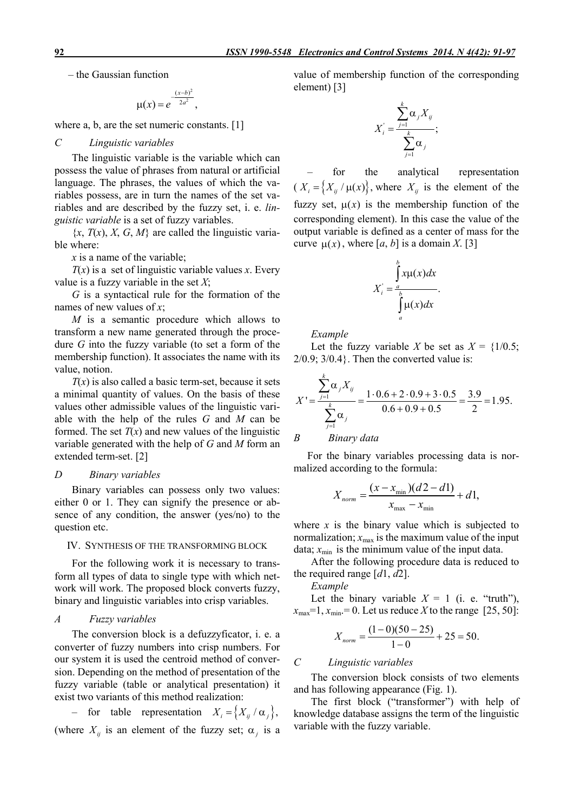– the Gaussian function

$$
\mu(x) = e^{-\frac{(x-b)^2}{2a^2}},
$$

where a, b, are the set numeric constants. [1]

### *C Linguistic variables*

The linguistic variable is the variable which can possess the value of phrases from natural or artificial language. The phrases, the values of which the variables possess, are in turn the names of the set variables and are described by the fuzzy set, i. e. *linguistic variable* is a set of fuzzy variables.

 ${x, T(x), X, G, M}$  are called the linguistic variable where:

*x* is a name of the variable;

 $T(x)$  is a set of linguistic variable values *x*. Every value is a fuzzy variable in the set *X*;

*G* is a syntactical rule for the formation of the names of new values of *x*;

*M* is a semantic procedure which allows to transform a new name generated through the procedure *G* into the fuzzy variable (to set a form of the membership function). It associates the name with its value, notion.

 $T(x)$  is also called a basic term-set, because it sets a minimal quantity of values. On the basis of these values other admissible values of the linguistic variable with the help of the rules *G* and *M* can be formed. The set  $T(x)$  and new values of the linguistic variable generated with the help of *G* and *M* form an extended term-set. [2]

## *D Binary variables*

Binary variables can possess only two values: either 0 or 1. They can signify the presence or absence of any condition, the answer (yes/no) to the question etc.

#### IV. SYNTHESIS OF THE TRANSFORMING BLOCK

For the following work it is necessary to transform all types of data to single type with which network will work. The proposed block converts fuzzy, binary and linguistic variables into crisp variables.

## *A Fuzzy variables*

The conversion block is a defuzzyficator, i. e. a converter of fuzzy numbers into crisp numbers. For our system it is used the centroid method of conversion. Depending on the method of presentation of the fuzzy variable (table or analytical presentation) it exist two variants of this method realization:

- for table representation 
$$
X_i = \{X_{ij} / \alpha_j\}
$$
,  
(where  $X_{ij}$  is an element of the fuzzy set;  $\alpha_j$  is a

value of membership function of the corresponding element) [3]

$$
X_i = \frac{\sum_{j=1}^k \alpha_j X_{ij}}{\sum_{j=1}^k \alpha_j};
$$

for the analytical representation  $(X_i = \{ X_{ii} / \mu(x) \},$  where  $X_{ii}$  is the element of the fuzzy set,  $\mu(x)$  is the membership function of the corresponding element). In this case the value of the output variable is defined as a center of mass for the curve  $\mu(x)$ , where [a, b] is a domain *X*. [3]

$$
X_i = \int_a^b x \mu(x) dx
$$

$$
X_i = \int_a^b \mu(x) dx.
$$

*Example*

Let the fuzzy variable *X* be set as  $X = \{1/0.5\}$ ;  $2/0.9$ ;  $3/0.4$ }. Then the converted value is:

$$
X' = \frac{\sum_{j=1}^{k} \alpha_j X_{ij}}{\sum_{j=1}^{k} \alpha_j} = \frac{1 \cdot 0.6 + 2 \cdot 0.9 + 3 \cdot 0.5}{0.6 + 0.9 + 0.5} = \frac{3.9}{2} = 1.95.
$$
  
*B* Binary data

For the binary variables processing data is normalized according to the formula:

$$
X_{norm} = \frac{(x - x_{min})(d2 - d1)}{x_{max} - x_{min}} + d1,
$$

where  $x$  is the binary value which is subjected to normalization;  $x_{\text{max}}$  is the maximum value of the input data;  $x_{\text{min}}$  is the minimum value of the input data.

After the following procedure data is reduced to the required range [*d*1, *d*2].

*Example*

Let the binary variable  $X = 1$  (i. e. "truth"),  $x_{\text{max}}=1$ ,  $x_{\text{min}}=0$ . Let us reduce *X* to the range [25, 50]:

$$
X_{norm} = \frac{(1-0)(50-25)}{1-0} + 25 = 50.
$$

### *C Linguistic variables*

The conversion block consists of two elements and has following appearance (Fig. 1).

The first block ("transformer") with help of knowledge database assigns the term of the linguistic variable with the fuzzy variable.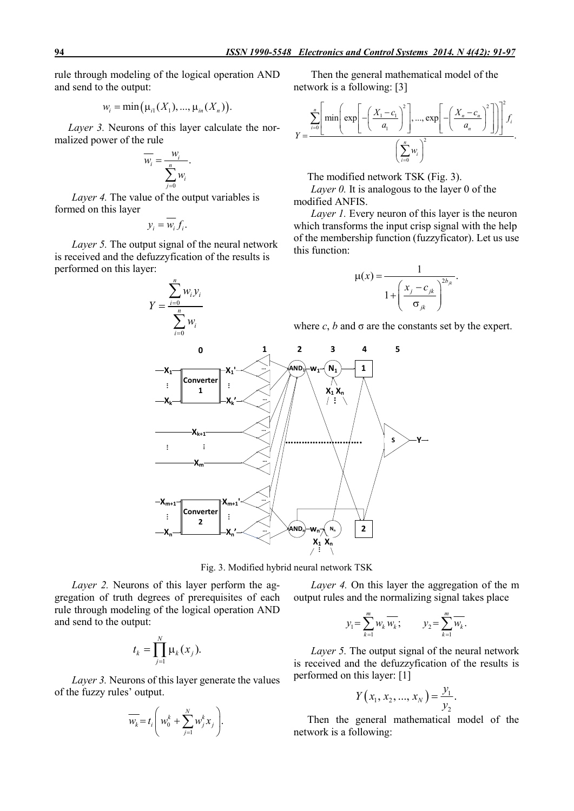rule through modeling of the logical operation AND and send to the output:

$$
w_i = min(\mu_{i1}(X_1), ..., \mu_{in}(X_n)).
$$

*Layer 3.* Neurons of this layer calculate the normalized power of the rule

$$
\overline{w_i} = \frac{w_i}{\sum_{j=0}^n w_i}.
$$

*Layer 4.* The value of the output variables is formed on this layer

$$
y_i = \overline{w_i} f_i.
$$

*Layer 5.* The output signal of the neural network is received and the defuzzyfication of the results is performed on this layer:

> $\overline{0}$  $\boldsymbol{0}$ *n i i i n i*  $w_i y$ *Y w*  $=$  $\equiv$  $=$ Σ  $\sum_{i=1}^{n}$

*i*

Then the general mathematical model of the network is a following: [3]

$$
Y = \frac{\sum_{i=0}^{n} \left[ \min \left( \exp \left[ -\left( \frac{X_1 - c_1}{a_1} \right)^2 \right], ..., \exp \left[ -\left( \frac{X_n - c_n}{a_n} \right)^2 \right] \right] \right]^2 f_i}{\left( \sum_{i=0}^{n} w_i \right)^2}.
$$

The modified network TSK (Fig. 3).

*Layer 0.* It is analogous to the layer 0 of the modified ANFIS.

*Layer 1.* Every neuron of this layer is the neuron which transforms the input crisp signal with the help of the membership function (fuzzyficator). Let us use this function:

$$
\mu(x) = \frac{1}{1 + \left(\frac{x_j - c_{jk}}{\sigma_{jk}}\right)^{2b_{jk}}}.
$$

where  $c$ ,  $b$  and  $\sigma$  are the constants set by the expert.



Fig. 3. Modified hybrid neural network TSK

*Layer 2.* Neurons of this layer perform the aggregation of truth degrees of prerequisites of each rule through modeling of the logical operation AND and send to the output:

$$
t_k = \prod_{j=1}^N \mu_k(x_j).
$$

*Layer 3.* Neurons of this layer generate the values of the fuzzy rules' output.

$$
\overline{w_k} = t_i \left( w_0^k + \sum_{j=1}^N w_j^k x_j \right).
$$

*Layer 4.* On this layer the aggregation of the m output rules and the normalizing signal takes place

$$
y_1 = \sum_{k=1}^m w_k \overline{w_k}; \qquad y_2 = \sum_{k=1}^m \overline{w_k}.
$$

*Layer 5.* The output signal of the neural network is received and the defuzzyfication of the results is performed on this layer: [1]

$$
Y(x_1, x_2, ..., x_N) = \frac{y_1}{y_2}.
$$

Then the general mathematical model of the network is a following: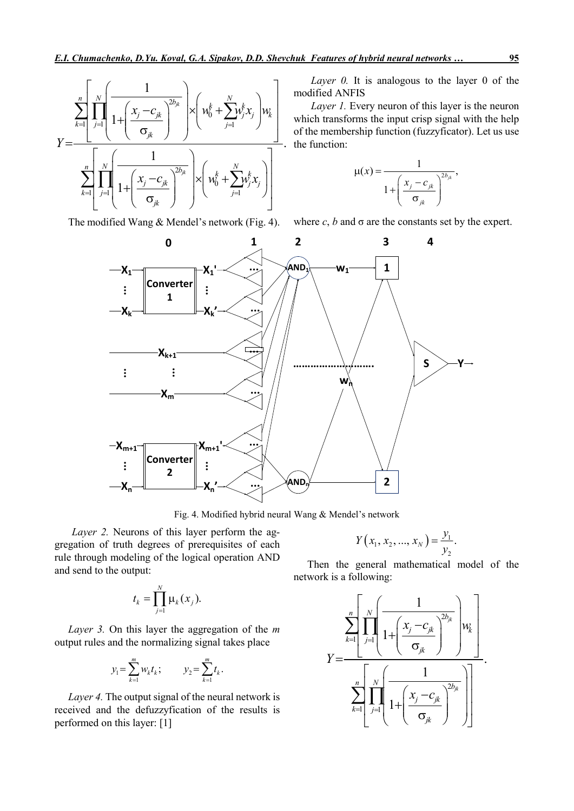$$
Y = \frac{\sum_{k=1}^{n} \left[ \prod_{j=1}^{N} \left( \frac{1}{1 + \left( \frac{x_j - c_{jk}}{\sigma_{jk}} \right)^{2b_{jk}}} \right) \times \left( w_0^k + \sum_{j=1}^{N} w_j^k x_j \right) w_k \right]}{\sum_{k=1}^{n} \left[ \prod_{j=1}^{N} \left( \frac{1}{1 + \left( \frac{x_j - c_{jk}}{\sigma_{jk}} \right)^{2b_{jk}}} \right) \times \left( w_0^k + \sum_{j=1}^{N} w_j^k x_j \right) \right]}.
$$

*Layer 0.* It is analogous to the layer 0 of the modified ANFIS

*Layer 1.* Every neuron of this layer is the neuron which transforms the input crisp signal with the help of the membership function (fuzzyficator). Let us use the function:

$$
\mu(x) = \frac{1}{1 + \left(\frac{x_j - c_{jk}}{\sigma_{jk}}\right)^{2b_{jk}}},
$$

The modified Wang & Mendel's network (Fig. 4).

where  $c$ ,  $b$  and  $\sigma$  are the constants set by the expert.



Fig. 4. Modified hybrid neural Wang & Mendel's network

*Layer 2.* Neurons of this layer perform the aggregation of truth degrees of prerequisites of each rule through modeling of the logical operation AND and send to the output:

$$
t_k = \prod_{j=1}^N \mu_k(x_j).
$$

*Layer 3.* On this layer the aggregation of the *m* output rules and the normalizing signal takes place

$$
y_1 = \sum_{k=1}^m w_k t_k
$$
;  $y_2 = \sum_{k=1}^m t_k$ .

*Layer 4.* The output signal of the neural network is received and the defuzzyfication of the results is performed on this layer: [1]

$$
Y(x_1, x_2, ..., x_N) = \frac{y_1}{y_2}.
$$

Then the general mathematical model of the network is a following:

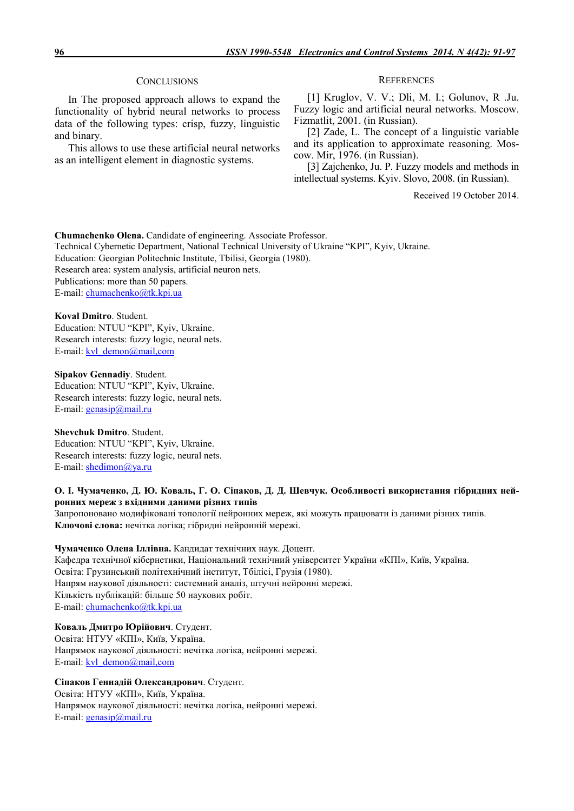### **CONCLUSIONS**

In The proposed approach allows to expand the functionality of hybrid neural networks to process data of the following types: crisp, fuzzy, linguistic and binary.

This allows to use these artificial neural networks as an intelligent element in diagnostic systems.

#### **REFERENCES**

[1] Kruglov, V. V.; Dli, M. I.; Golunov, R .Ju. Fuzzy logic and artificial neural networks. Moscow. Fizmatlit, 2001. (in Russian).

[2] Zade, L. The concept of a linguistic variable and its application to approximate reasoning. Moscow. Mir, 1976. (in Russian).

[3] Zajchenko, Ju. P. Fuzzy models and methods in intellectual systems. Kyiv. Slovo, 2008. (in Russian).

Received 19 October 2014.

Chumachenko Olena. Candidate of engineering. Associate Professor. Technical Cybernetic Department, National Technical University of Ukraine "KPI", Kyiv, Ukraine. Education: Georgian Politechnic Institute, Tbilisi, Georgia (1980). Research area: system analysis, artificial neuron nets. Publications: more than 50 papers. E-mail: chumachenko@tk.kpi.ua

#### Koval Dmitro. Student.

Education: NTUU "KPI", Kyiv, Ukraine. Research interests: fuzzy logic, neural nets. E-mail: kvl\_demon@mail,com

Sipakov Gennadiy. Student. Education: NTUU "KPI", Kyiv, Ukraine. Research interests: fuzzy logic, neural nets. E-mail:  $genasip@mail.ru$ 

Shevchuk Dmitro. Student. Education: NTUU "KPI", Kyiv, Ukraine. Research interests: fuzzy logic, neural nets. E-mail: shedimon@ya.ru

## О. І. Чумаченко, Д. Ю. Коваль, Г. О. Сіпаков, Д. Д. Шевчук. Особливості використання гібридних нейронних мереж з вхідними даними різних типів

Запропоновано модифіковані топології нейронних мереж, які можуть працювати із даними різних типів. Ключові слова: нечітка логіка; гібридні нейронній мережі.

## Чумаченко Олена Іллівна. Кандидат технічних наук. Доцент.

Кафедра технічної кібернетики, Національний технічний університет України «КПІ», Київ, Україна. Освіта: Грузинський політехнічний інститут, Тбілісі, Грузія (1980). Напрям наукової діяльності: системний аналіз, штучні нейронні мережі. Кількість публікацій: більше 50 наукових робіт. E-mail: chumachenko@tk.kpi.ua

## Коваль Дмитро Юрійович. Студент.

Освіта: НТУУ «КПІ», Київ, Україна. Напрямок наукової діяльності: нечітка логіка, нейронні мережі. Е-mail: kvl\_demon@mail,com

# Сіпаков Геннадій Олександрович. Студент.

Освіта: НТУУ «КПІ», Київ, Україна. Напрямок наукової діяльності: нечітка логіка, нейронні мережі. Е-mail: genasip@mail.ru